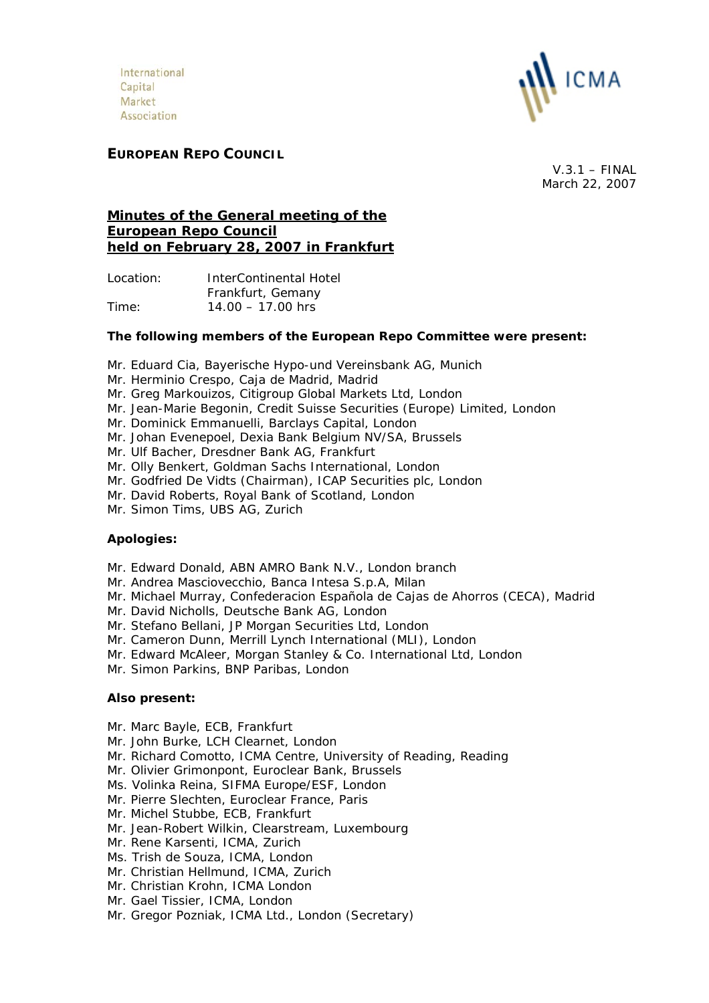International Capital Market Association



# **EUROPEAN REPO COUNCIL**

 $V.3.1 - FINAL$ March 22, 2007

# **Minutes of the General meeting of the European Repo Council held on February 28, 2007 in Frankfurt**

Location: InterContinental Hotel Frankfurt, Gemany Time: 14.00 – 17.00 hrs

### **The following members of the European Repo Committee were present:**

- Mr. Eduard Cia, Bayerische Hypo-und Vereinsbank AG, Munich
- Mr. Herminio Crespo, Caja de Madrid, Madrid
- Mr. Greg Markouizos, Citigroup Global Markets Ltd, London
- Mr. Jean-Marie Begonin, Credit Suisse Securities (Europe) Limited, London
- Mr. Dominick Emmanuelli, Barclays Capital, London
- Mr. Johan Evenepoel, Dexia Bank Belgium NV/SA, Brussels
- Mr. Ulf Bacher, Dresdner Bank AG, Frankfurt
- Mr. Olly Benkert, Goldman Sachs International, London
- Mr. Godfried De Vidts (Chairman), ICAP Securities plc, London
- Mr. David Roberts, Royal Bank of Scotland, London
- Mr. Simon Tims, UBS AG, Zurich

## **Apologies:**

- Mr. Edward Donald, ABN AMRO Bank N.V., London branch
- Mr. Andrea Masciovecchio, Banca Intesa S.p.A, Milan
- Mr. Michael Murray, Confederacion Española de Cajas de Ahorros (CECA), Madrid
- Mr. David Nicholls, Deutsche Bank AG, London
- Mr. Stefano Bellani, JP Morgan Securities Ltd, London
- Mr. Cameron Dunn, Merrill Lynch International (MLI), London
- Mr. Edward McAleer, Morgan Stanley & Co. International Ltd, London
- Mr. Simon Parkins, BNP Paribas, London

## **Also present:**

- Mr. Marc Bayle, ECB, Frankfurt
- Mr. John Burke, LCH Clearnet, London
- Mr. Richard Comotto, ICMA Centre, University of Reading, Reading
- Mr. Olivier Grimonpont, Euroclear Bank, Brussels
- Ms. Volinka Reina, SIFMA Europe/ESF, London
- Mr. Pierre Slechten, Euroclear France, Paris
- Mr. Michel Stubbe, ECB, Frankfurt
- Mr. Jean-Robert Wilkin, Clearstream, Luxembourg
- Mr. Rene Karsenti, ICMA, Zurich
- Ms. Trish de Souza, ICMA, London
- Mr. Christian Hellmund, ICMA, Zurich
- Mr. Christian Krohn, ICMA London
- Mr. Gael Tissier, ICMA, London
- Mr. Gregor Pozniak, ICMA Ltd., London (Secretary)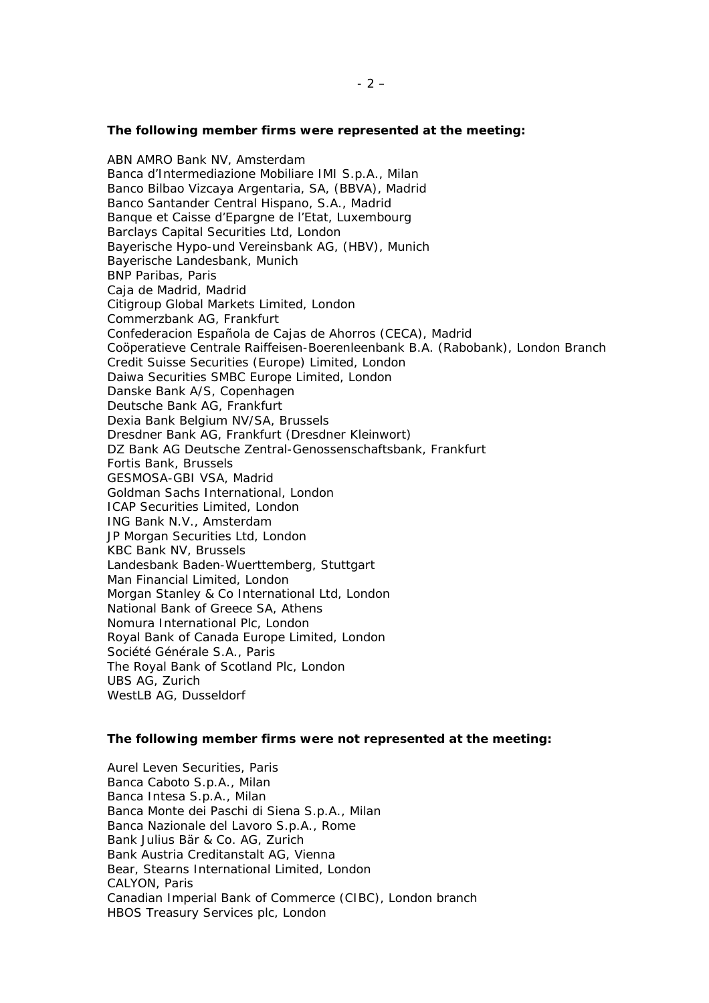#### **The following member firms were represented at the meeting:**

ABN AMRO Bank NV, Amsterdam Banca d'Intermediazione Mobiliare IMI S.p.A., Milan Banco Bilbao Vizcaya Argentaria, SA, (BBVA), Madrid Banco Santander Central Hispano, S.A., Madrid Banque et Caisse d'Epargne de l'Etat, Luxembourg Barclays Capital Securities Ltd, London Bayerische Hypo-und Vereinsbank AG, (HBV), Munich Bayerische Landesbank, Munich BNP Paribas, Paris Caja de Madrid, Madrid Citigroup Global Markets Limited, London Commerzbank AG, Frankfurt Confederacion Española de Cajas de Ahorros (CECA), Madrid Coöperatieve Centrale Raiffeisen-Boerenleenbank B.A. (Rabobank), London Branch Credit Suisse Securities (Europe) Limited, London Daiwa Securities SMBC Europe Limited, London Danske Bank A/S, Copenhagen Deutsche Bank AG, Frankfurt Dexia Bank Belgium NV/SA, Brussels Dresdner Bank AG, Frankfurt (Dresdner Kleinwort) DZ Bank AG Deutsche Zentral-Genossenschaftsbank, Frankfurt Fortis Bank, Brussels GESMOSA-GBI VSA, Madrid Goldman Sachs International, London ICAP Securities Limited, London ING Bank N.V., Amsterdam JP Morgan Securities Ltd, London KBC Bank NV, Brussels Landesbank Baden-Wuerttemberg, Stuttgart Man Financial Limited, London Morgan Stanley & Co International Ltd, London National Bank of Greece SA, Athens Nomura International Plc, London Royal Bank of Canada Europe Limited, London Société Générale S.A., Paris The Royal Bank of Scotland Plc, London UBS AG, Zurich WestLB AG, Dusseldorf

#### **The following member firms were not represented at the meeting:**

Aurel Leven Securities, Paris Banca Caboto S.p.A., Milan Banca Intesa S.p.A., Milan Banca Monte dei Paschi di Siena S.p.A., Milan Banca Nazionale del Lavoro S.p.A., Rome Bank Julius Bär & Co. AG, Zurich Bank Austria Creditanstalt AG, Vienna Bear, Stearns International Limited, London CALYON, Paris Canadian Imperial Bank of Commerce (CIBC), London branch HBOS Treasury Services plc, London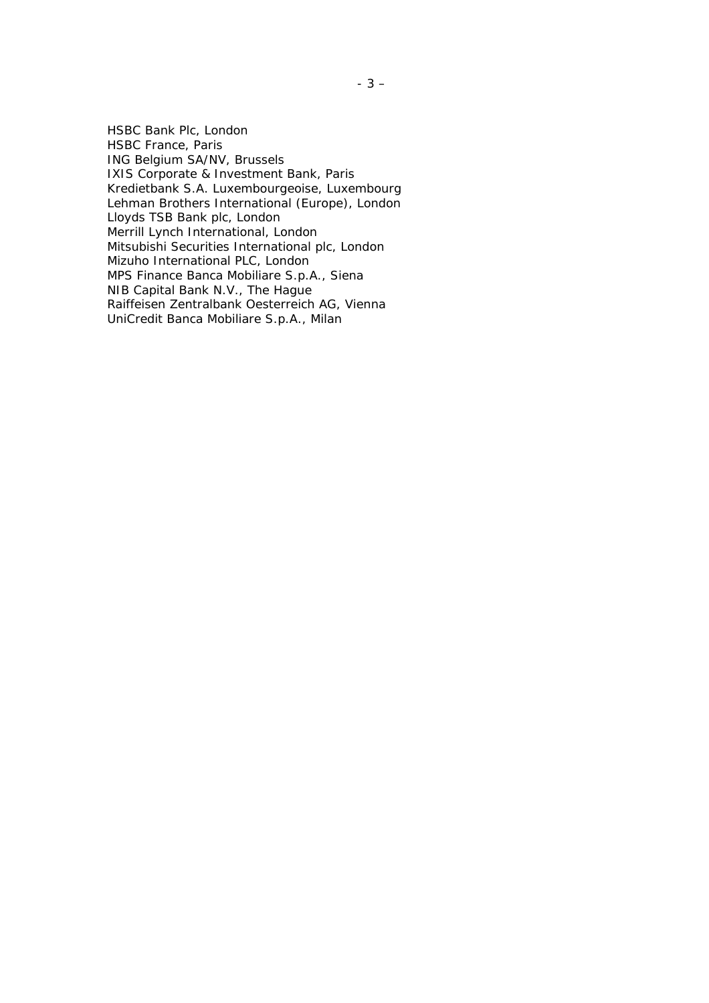HSBC Bank Plc, London HSBC France, Paris ING Belgium SA/NV, Brussels IXIS Corporate & Investment Bank, Paris Kredietbank S.A. Luxembourgeoise, Luxembourg Lehman Brothers International (Europe), London Lloyds TSB Bank plc, London Merrill Lynch International, London Mitsubishi Securities International plc, London Mizuho International PLC, London MPS Finance Banca Mobiliare S.p.A., Siena NIB Capital Bank N.V., The Hague Raiffeisen Zentralbank Oesterreich AG, Vienna UniCredit Banca Mobiliare S.p.A., Milan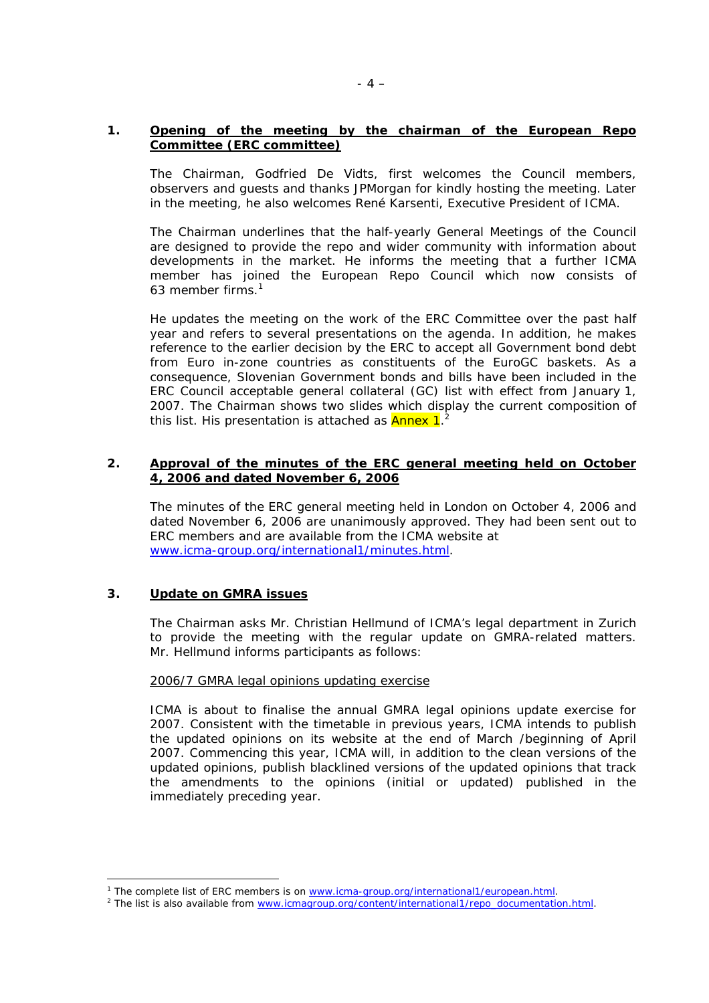## **1. Opening of the meeting by the chairman of the European Repo Committee (ERC committee)**

 The Chairman, Godfried De Vidts, first welcomes the Council members, observers and guests and thanks JPMorgan for kindly hosting the meeting. Later in the meeting, he also welcomes René Karsenti, Executive President of ICMA.

The Chairman underlines that the half-yearly General Meetings of the Council are designed to provide the repo and wider community with information about developments in the market. He informs the meeting that a further ICMA member has joined the European Repo Council which now consists of 63 member firms.<sup>[1](#page-3-0)</sup>

He updates the meeting on the work of the ERC Committee over the past half year and refers to several presentations on the agenda. In addition, he makes reference to the earlier decision by the ERC to accept all Government bond debt from Euro in-zone countries as constituents of the EuroGC baskets. As a consequence, Slovenian Government bonds and bills have been included in the ERC Council acceptable general collateral (GC) list with effect from January 1, 2007. The Chairman shows two slides which display the current composition of this list. His presentation is attached as  $\lambda$ nnex 1.<sup>[2](#page-3-1)</sup>

## **2. Approval of the minutes of the ERC general meeting held on October 4, 2006 and dated November 6, 2006**

 The minutes of the ERC general meeting held in London on October 4, 2006 and dated November 6, 2006 are unanimously approved. They had been sent out to ERC members and are available from the ICMA website at [www.icma-group.org/international1/minutes.html](http://www.icma-group.org/international1/minutes.html).

## **3. Update on GMRA issues**

 $\overline{a}$ 

The Chairman asks Mr. Christian Hellmund of ICMA's legal department in Zurich to provide the meeting with the regular update on GMRA-related matters. Mr. Hellmund informs participants as follows:

#### 2006/7 GMRA legal opinions updating exercise

ICMA is about to finalise the annual GMRA legal opinions update exercise for 2007. Consistent with the timetable in previous years, ICMA intends to publish the updated opinions on its website at the end of March /beginning of April 2007. Commencing this year, ICMA will, in addition to the clean versions of the updated opinions, publish blacklined versions of the updated opinions that track the amendments to the opinions (initial or updated) published in the immediately preceding year.

<span id="page-3-0"></span><sup>&</sup>lt;sup>1</sup> The complete list of ERC members is on [www.icma-group.org/international1/european.html.](http://www.icma-group.org/international1/european.html)<br><sup>2</sup> The list is also available from your impartuup ara/contant/international1/repe.documentation

<span id="page-3-1"></span><sup>&</sup>lt;sup>2</sup> The list is also available from [www.icmagroup.org/content/international1/repo\\_documentation.html](http://www.icmagroup.org/content/international1/repo_documentation.html).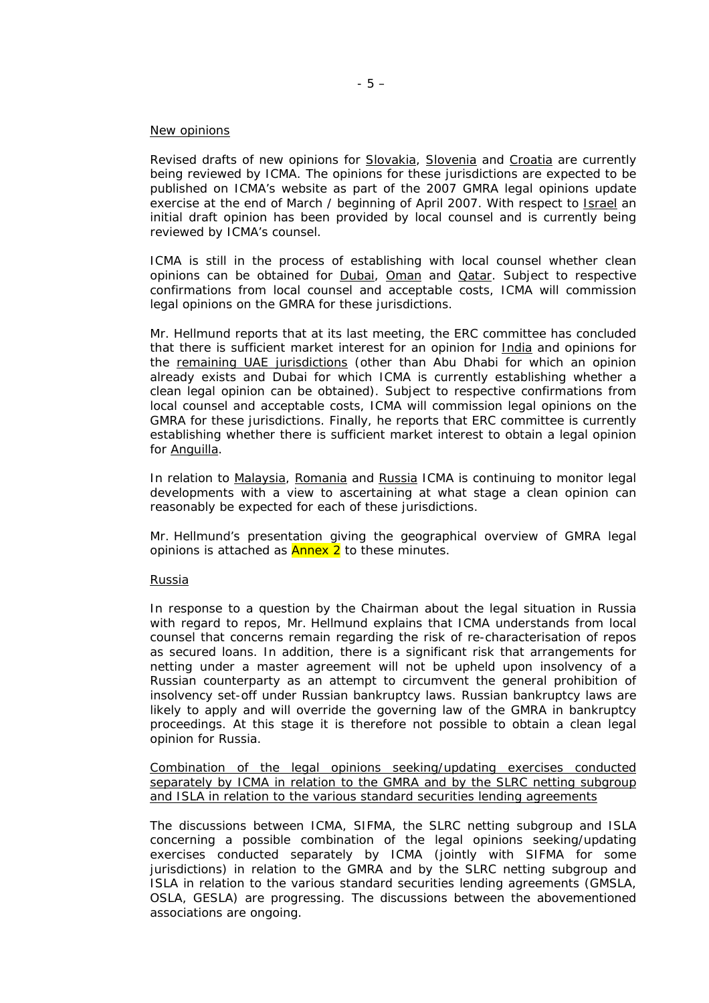#### New opinions

Revised drafts of new opinions for Slovakia, Slovenia and Croatia are currently being reviewed by ICMA. The opinions for these jurisdictions are expected to be published on ICMA's website as part of the 2007 GMRA legal opinions update exercise at the end of March / beginning of April 2007. With respect to Israel an initial draft opinion has been provided by local counsel and is currently being reviewed by ICMA's counsel.

ICMA is still in the process of establishing with local counsel whether clean opinions can be obtained for **Dubai**, **Oman** and **Qatar**. Subject to respective confirmations from local counsel and acceptable costs, ICMA will commission legal opinions on the GMRA for these jurisdictions.

Mr. Hellmund reports that at its last meeting, the ERC committee has concluded that there is sufficient market interest for an opinion for India and opinions for the remaining UAE jurisdictions (other than Abu Dhabi for which an opinion already exists and Dubai for which ICMA is currently establishing whether a clean legal opinion can be obtained). Subject to respective confirmations from local counsel and acceptable costs, ICMA will commission legal opinions on the GMRA for these jurisdictions. Finally, he reports that ERC committee is currently establishing whether there is sufficient market interest to obtain a legal opinion for **Anguilla**.

In relation to Malaysia, Romania and Russia ICMA is continuing to monitor legal developments with a view to ascertaining at what stage a clean opinion can reasonably be expected for each of these jurisdictions.

Mr. Hellmund's presentation giving the geographical overview of GMRA legal opinions is attached as **Annex 2** to these minutes.

#### Russia

In response to a question by the Chairman about the legal situation in Russia with regard to repos, Mr. Hellmund explains that ICMA understands from local counsel that concerns remain regarding the risk of re-characterisation of repos as secured loans. In addition, there is a significant risk that arrangements for netting under a master agreement will not be upheld upon insolvency of a Russian counterparty as an attempt to circumvent the general prohibition of insolvency set-off under Russian bankruptcy laws. Russian bankruptcy laws are likely to apply and will override the governing law of the GMRA in bankruptcy proceedings. At this stage it is therefore not possible to obtain a clean legal opinion for Russia.

Combination of the legal opinions seeking/updating exercises conducted separately by ICMA in relation to the GMRA and by the SLRC netting subgroup and ISLA in relation to the various standard securities lending agreements

The discussions between ICMA, SIFMA, the SLRC netting subgroup and ISLA concerning a possible combination of the legal opinions seeking/updating exercises conducted separately by ICMA (jointly with SIFMA for some jurisdictions) in relation to the GMRA and by the SLRC netting subgroup and ISLA in relation to the various standard securities lending agreements (GMSLA, OSLA, GESLA) are progressing. The discussions between the abovementioned associations are ongoing.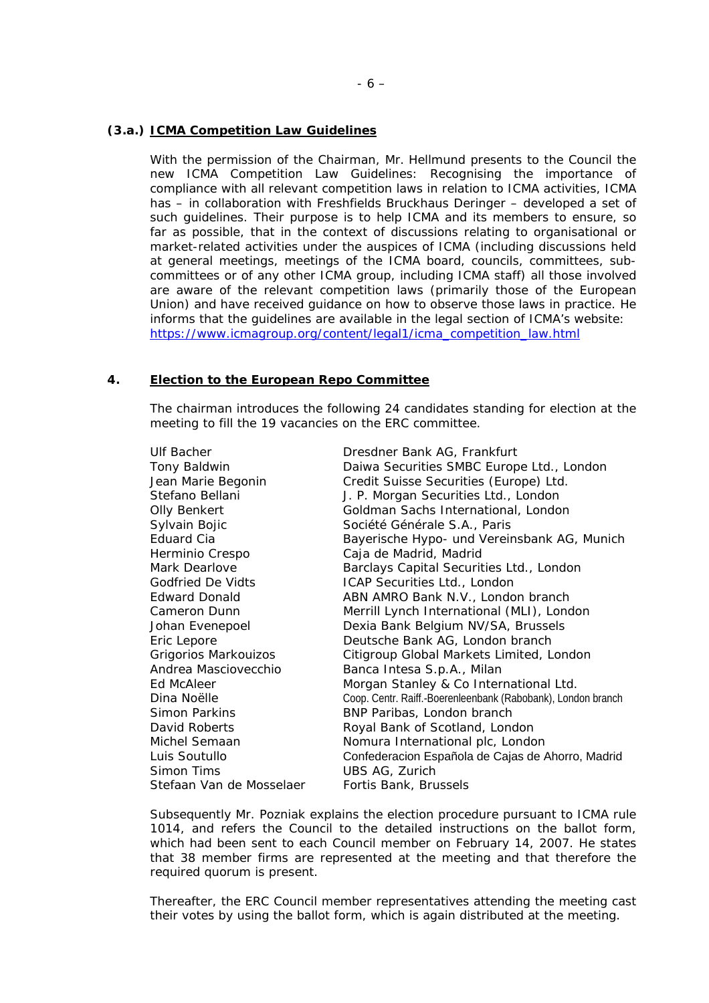### **(3.a.) ICMA Competition Law Guidelines**

With the permission of the Chairman, Mr. Hellmund presents to the Council the new ICMA Competition Law Guidelines: Recognising the importance of compliance with all relevant competition laws in relation to ICMA activities, ICMA has – in collaboration with Freshfields Bruckhaus Deringer – developed a set of such guidelines. Their purpose is to help ICMA and its members to ensure, so far as possible, that in the context of discussions relating to organisational or market-related activities under the auspices of ICMA (including discussions held at general meetings, meetings of the ICMA board, councils, committees, subcommittees or of any other ICMA group, including ICMA staff) all those involved are aware of the relevant competition laws (primarily those of the European Union) and have received guidance on how to observe those laws in practice. He informs that the guidelines are available in the legal section of ICMA's website: [https://www.icmagroup.org/content/legal1/icma\\_competition\\_law.html](https://www.icmagroup.org/content/legal1/icma_competition_law.html)

### **4. Election to the European Repo Committee**

The chairman introduces the following 24 candidates standing for election at the meeting to fill the 19 vacancies on the ERC committee.

| Ulf Bacher               | Dresdner Bank AG, Frankfurt                                  |
|--------------------------|--------------------------------------------------------------|
| Tony Baldwin             | Daiwa Securities SMBC Europe Ltd., London                    |
| Jean Marie Begonin       | Credit Suisse Securities (Europe) Ltd.                       |
| Stefano Bellani          | J. P. Morgan Securities Ltd., London                         |
| Olly Benkert             | Goldman Sachs International, London                          |
| Sylvain Bojic            | Société Générale S.A., Paris                                 |
| Eduard Cia               | Bayerische Hypo- und Vereinsbank AG, Munich                  |
| Herminio Crespo          | Caja de Madrid, Madrid                                       |
| Mark Dearlove            | Barclays Capital Securities Ltd., London                     |
| <b>Godfried De Vidts</b> | ICAP Securities Ltd., London                                 |
| <b>Edward Donald</b>     | ABN AMRO Bank N.V., London branch                            |
| Cameron Dunn             | Merrill Lynch International (MLI), London                    |
| Johan Evenepoel          | Dexia Bank Belgium NV/SA, Brussels                           |
| Eric Lepore              | Deutsche Bank AG, London branch                              |
| Grigorios Markouizos     | Citigroup Global Markets Limited, London                     |
| Andrea Masciovecchio     | Banca Intesa S.p.A., Milan                                   |
| Ed McAleer               | Morgan Stanley & Co International Ltd.                       |
| Dina Noëlle              | Coop. Centr. Raiff.-Boerenleenbank (Rabobank), London branch |
| Simon Parkins            | BNP Paribas, London branch                                   |
| David Roberts            | Royal Bank of Scotland, London                               |
| Michel Semaan            | Nomura International plc, London                             |
| Luis Soutullo            | Confederacion Española de Cajas de Ahorro, Madrid            |
| Simon Tims               | UBS AG, Zurich                                               |
| Stefaan Van de Mosselaer | Fortis Bank, Brussels                                        |
|                          |                                                              |

Subsequently Mr. Pozniak explains the election procedure pursuant to ICMA rule 1014, and refers the Council to the detailed instructions on the ballot form, which had been sent to each Council member on February 14, 2007. He states that 38 member firms are represented at the meeting and that therefore the required quorum is present.

Thereafter, the ERC Council member representatives attending the meeting cast their votes by using the ballot form, which is again distributed at the meeting.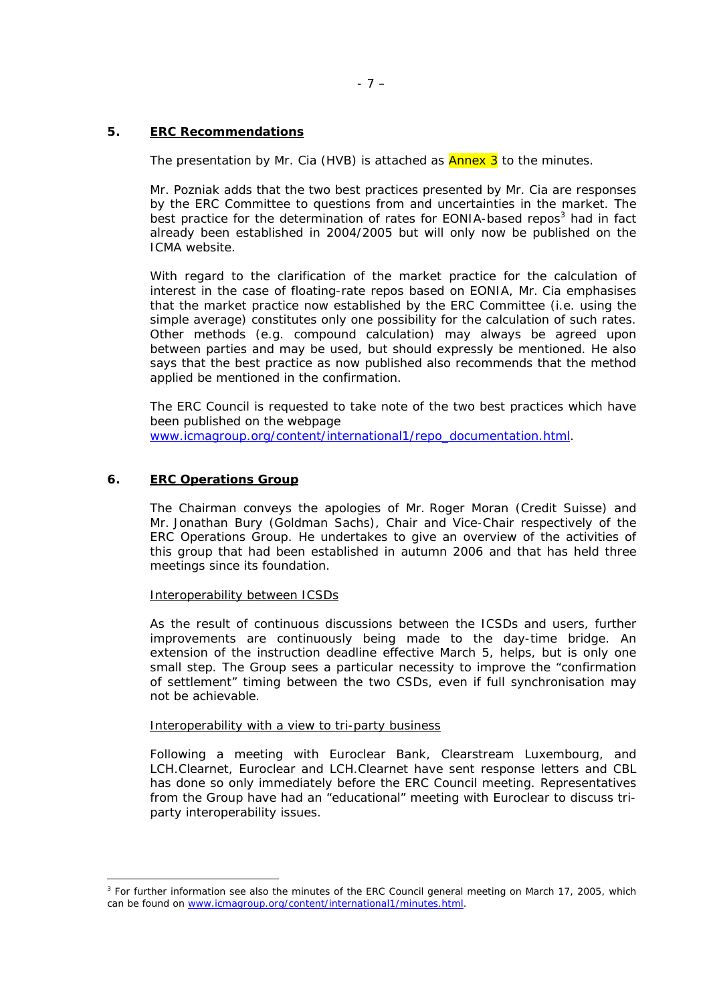## **5. ERC Recommendations**

The presentation by Mr. Cia (HVB) is attached as **Annex 3** to the minutes.

Mr. Pozniak adds that the two best practices presented by Mr. Cia are responses by the ERC Committee to questions from and uncertainties in the market. The best practice for the determination of rates for EONIA-based repos<sup>3</sup> had in fact already been established in 2004/2005 but will only now be published on the ICMA website.

With regard to the clarification of the market practice for the calculation of interest in the case of floating-rate repos based on EONIA, Mr. Cia emphasises that the market practice now established by the ERC Committee (i.e. using the simple average) constitutes only one possibility for the calculation of such rates. Other methods (e.g. compound calculation) may always be agreed upon between parties and may be used, but should expressly be mentioned. He also says that the best practice as now published also recommends that the method applied be mentioned in the confirmation.

The ERC Council is requested to take note of the two best practices which have been published on the webpage [www.icmagroup.org/content/international1/repo\\_documentation.html.](http://www.icmagroup.org/content/international1/repo_documentation.html)

# **6. ERC Operations Group**

 $\overline{a}$ 

The Chairman conveys the apologies of Mr. Roger Moran (Credit Suisse) and Mr. Jonathan Bury (Goldman Sachs), Chair and Vice-Chair respectively of the ERC Operations Group. He undertakes to give an overview of the activities of this group that had been established in autumn 2006 and that has held three meetings since its foundation.

#### Interoperability between ICSDs

As the result of continuous discussions between the ICSDs and users, further improvements are continuously being made to the day-time bridge. An extension of the instruction deadline effective March 5, helps, but is only one small step. The Group sees a particular necessity to improve the "confirmation of settlement" timing between the two CSDs, even if full synchronisation may not be achievable.

#### Interoperability with a view to tri-party business

Following a meeting with Euroclear Bank, Clearstream Luxembourg, and LCH.Clearnet, Euroclear and LCH.Clearnet have sent response letters and CBL has done so only immediately before the ERC Council meeting. Representatives from the Group have had an "educational" meeting with Euroclear to discuss triparty interoperability issues.

<span id="page-6-0"></span><sup>&</sup>lt;sup>3</sup> For further information see also the minutes of the ERC Council general meeting on March 17, 2005, which can be found on [www.icmagroup.org/content/international1/minutes.html.](http://www.icmagroup.org/content/international1/minutes.html)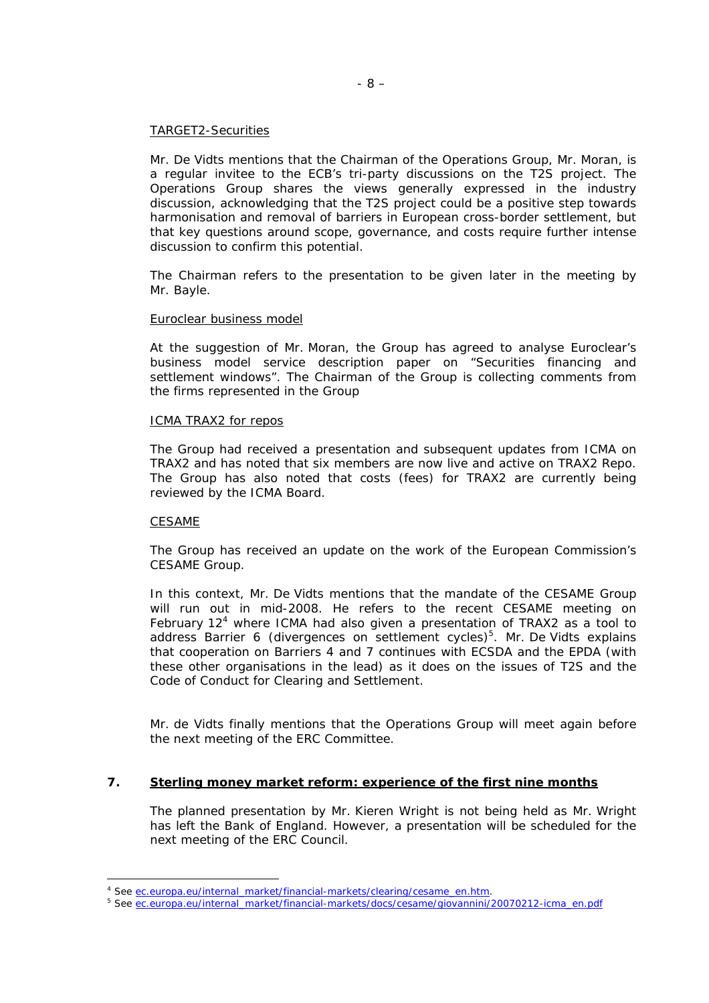#### TARGET2-Securities

Mr. De Vidts mentions that the Chairman of the Operations Group, Mr. Moran, is a regular invitee to the ECB's tri-party discussions on the T2S project. The Operations Group shares the views generally expressed in the industry discussion, acknowledging that the T2S project could be a positive step towards harmonisation and removal of barriers in European cross-border settlement, but that key questions around scope, governance, and costs require further intense discussion to confirm this potential.

The Chairman refers to the presentation to be given later in the meeting by Mr. Bayle.

#### Euroclear business model

At the suggestion of Mr. Moran, the Group has agreed to analyse Euroclear's business model service description paper on "Securities financing and settlement windows". The Chairman of the Group is collecting comments from the firms represented in the Group

#### ICMA TRAX2 for repos

The Group had received a presentation and subsequent updates from ICMA on TRAX2 and has noted that six members are now live and active on TRAX2 Repo. The Group has also noted that costs (fees) for TRAX2 are currently being reviewed by the ICMA Board.

#### CESAME

 $\overline{a}$ 

The Group has received an update on the work of the European Commission's CESAME Group.

In this context, Mr. De Vidts mentions that the mandate of the CESAME Group will run out in mid-2008. He refers to the recent CESAME meeting on February  $12<sup>4</sup>$  where ICMA had also given a presentation of TRAX2 as a tool to address Barrier 6 (divergences on settlement cycles)<sup>5</sup>. Mr. De Vidts explains that cooperation on Barriers 4 and 7 continues with ECSDA and the EPDA (with these other organisations in the lead) as it does on the issues of T2S and the Code of Conduct for Clearing and Settlement.

Mr. de Vidts finally mentions that the Operations Group will meet again before the next meeting of the ERC Committee.

### **7. Sterling money market reform: experience of the first nine months**

The planned presentation by Mr. Kieren Wright is not being held as Mr. Wright has left the Bank of England. However, a presentation will be scheduled for the next meeting of the ERC Council.

<span id="page-7-0"></span><sup>&</sup>lt;sup>4</sup> See [ec.europa.eu/internal\\_market/financial-markets/clearing/cesame\\_en.htm.](http://ec.europa.eu/internal_market/financial-markets/clearing/cesame_en.htm)

<span id="page-7-1"></span><sup>&</sup>lt;sup>5</sup> See ec.europa.eu/internal\_market/financial-markets/docs/cesame/giovannini/20070212-icma\_en.pdf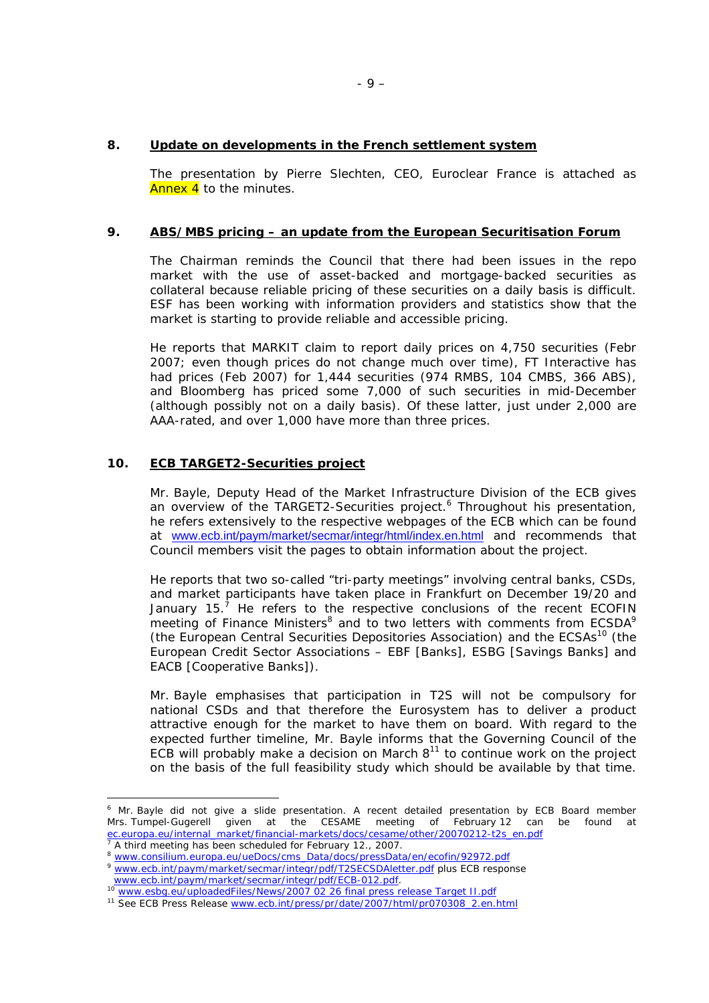### **8. Update on developments in the French settlement system**

The presentation by Pierre Slechten, CEO, Euroclear France is attached as Annex 4 to the minutes.

### **9. ABS/MBS pricing – an update from the European Securitisation Forum**

The Chairman reminds the Council that there had been issues in the repo market with the use of asset-backed and mortgage-backed securities as collateral because reliable pricing of these securities on a daily basis is difficult. ESF has been working with information providers and statistics show that the market is starting to provide reliable and accessible pricing.

He reports that MARKIT claim to report daily prices on 4,750 securities (Febr 2007; even though prices do not change much over time), FT Interactive has had prices (Feb 2007) for 1,444 securities (974 RMBS, 104 CMBS, 366 ABS), and Bloomberg has priced some 7,000 of such securities in mid-December (although possibly not on a daily basis). Of these latter, just under 2,000 are AAA-rated, and over 1,000 have more than three prices.

### **10. ECB TARGET2-Securities project**

 $\overline{a}$ 

Mr. Bayle, Deputy Head of the Market Infrastructure Division of the ECB gives an overview of the TARGET2-Securities project.<sup>[6](#page-8-0)</sup> Throughout his presentation, he refers extensively to the respective webpages of the ECB which can be found at [www.ecb.int/paym/market/secmar/integr/html/index.en.html](http://www.ecb.int/paym/market/secmar/integr/html/index.en.html) and recommends that Council members visit the pages to obtain information about the project.

He reports that two so-called "tri-party meetings" involving central banks, CSDs, and market participants have taken place in Frankfurt on December 19/20 and January15.<sup>7</sup> He refers to the respective conclusions of the recent ECOFIN meetingof Finance Ministers<sup>8</sup> and to two letters with comments from ECSDA<sup>9</sup> (the European Central Securities Depositories Association) and the ECSAs<sup>10</sup> (the European Credit Sector Associations – EBF [Banks], ESBG [Savings Banks] and EACB [Cooperative Banks]).

Mr. Bayle emphasises that participation in T2S will not be compulsory for national CSDs and that therefore the Eurosystem has to deliver a product attractive enough for the market to have them on board. With regard to the expected further timeline, Mr. Bayle informs that the Governing Council of the ECB will probably make a decision on March  $8<sup>11</sup>$  to continue work on the project on the basis of the full feasibility study which should be available by that time.

<span id="page-8-0"></span><sup>&</sup>lt;sup>6</sup> Mr. Bayle did not give a slide presentation. A recent detailed presentation by ECB Board member Mrs. Tumpel-Gugerell given at the CESAME meeting of February 12 can be found at ec.europa.eu/internal\_market/financial-markets/docs/cesame/other/20070212-t2s\_en.pdf

<span id="page-8-1"></span><sup>&</sup>lt;sup>7</sup> A third meeting has been scheduled for February 12., 2007.<br><sup>8</sup> www.consilium.europa.eu/ueDocs/cms\_Data/docs/pressData/en/ecofin/92972.pdf

<span id="page-8-3"></span><span id="page-8-2"></span>www.consilium.curopa.curopor.curis\_Data/docs/pressData/cir/ccomm/2772.pdf<br>[www.ecb.int/paym/market/secmar/integr/pdf/T2SECSDAletter.pdf](http://www.ecb.int/paym/market/secmar/integr/pdf/T2SECSDAletter.pdf) plus ECB response<br>www.ecb.int/paym/market/secmar/integr/pdf/ECB-012.pdf.

<span id="page-8-4"></span>www.esbg.eu/uploadedFiles/News/2007 02 26 final press release Target II.pdf<br><sup>11</sup> See ECB Press Release www.ecb.int/press/pr/date/2007/html/pr070308\_2.en.html

<span id="page-8-5"></span>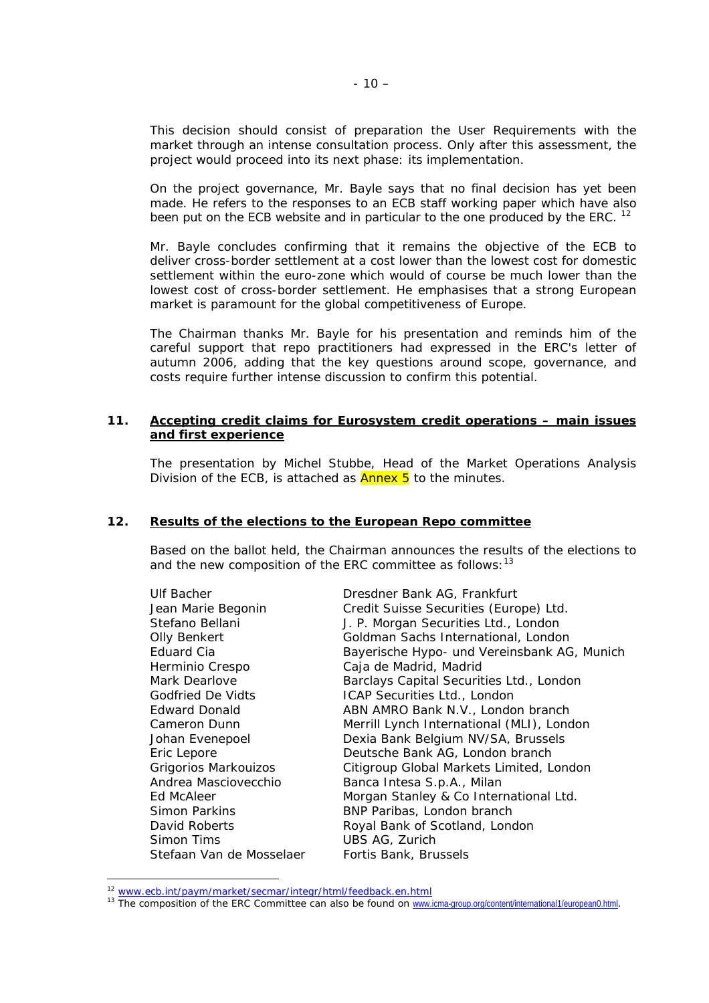This decision should consist of preparation the User Requirements with the market through an intense consultation process. Only after this assessment, the project would proceed into its next phase: its implementation.

On the project governance, Mr. Bayle says that no final decision has yet been made. He refers to the responses to an ECB staff working paper which have also been put on the ECB website and in particular to the one produced by the ERC. <sup>12</sup>

Mr. Bayle concludes confirming that it remains the objective of the ECB to deliver cross-border settlement at a cost lower than the lowest cost for domestic settlement within the euro-zone which would of course be much lower than the lowest cost of cross-border settlement. He emphasises that a strong European market is paramount for the global competitiveness of Europe.

The Chairman thanks Mr. Bayle for his presentation and reminds him of the careful support that repo practitioners had expressed in the ERC's letter of autumn 2006, adding that the key questions around scope, governance, and costs require further intense discussion to confirm this potential.

### **11. Accepting credit claims for Eurosystem credit operations – main issues and first experience**

The presentation by Michel Stubbe, Head of the Market Operations Analysis Division of the ECB, is attached as **Annex 5** to the minutes.

#### **12. Results of the elections to the European Repo committee**

Based on the ballot held, the Chairman announces the results of the elections to and the new composition of the ERC committee as follows:  $13$ 

| Ulf Bacher               | Dresdner Bank AG, Frankfurt                 |
|--------------------------|---------------------------------------------|
| Jean Marie Begonin       | Credit Suisse Securities (Europe) Ltd.      |
| Stefano Bellani          | J. P. Morgan Securities Ltd., London        |
| Olly Benkert             | Goldman Sachs International, London         |
| Eduard Cia               | Bayerische Hypo- und Vereinsbank AG, Munich |
| Herminio Crespo          | Caja de Madrid, Madrid                      |
| Mark Dearlove            | Barclays Capital Securities Ltd., London    |
| Godfried De Vidts        | ICAP Securities Ltd., London                |
| Edward Donald            | ABN AMRO Bank N.V., London branch           |
| Cameron Dunn             | Merrill Lynch International (MLI), London   |
| Johan Evenepoel          | Dexia Bank Belgium NV/SA, Brussels          |
| Eric Lepore              | Deutsche Bank AG, London branch             |
| Grigorios Markouizos     | Citigroup Global Markets Limited, London    |
| Andrea Masciovecchio     | Banca Intesa S.p.A., Milan                  |
| Ed McAleer               | Morgan Stanley & Co International Ltd.      |
| Simon Parkins            | BNP Paribas, London branch                  |
| David Roberts            | Royal Bank of Scotland, London              |
| Simon Tims               | UBS AG, Zurich                              |
| Stefaan Van de Mosselaer | Fortis Bank, Brussels                       |
|                          |                                             |

<span id="page-9-1"></span>

<span id="page-9-0"></span><sup>&</sup>lt;sup>12</sup> [www.ecb.int/paym/market/secmar/integr/html/feedback.en.html](http://www.ecb.int/paym/market/secmar/integr/html/feedback.en.html)<br><sup>13</sup> The composition of the ERC Committee can also be found on [www.icma-group.org/content/international1/european0.html](http://www.icma-group.org/content/international1/european0.html).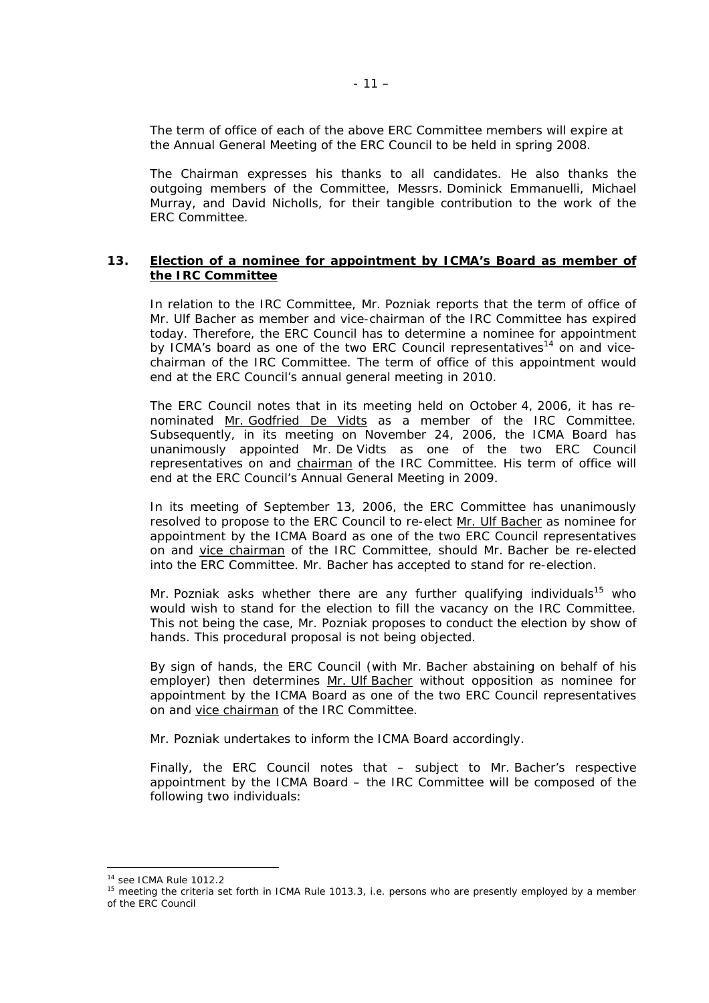The term of office of each of the above ERC Committee members will expire at the Annual General Meeting of the ERC Council to be held in spring 2008.

The Chairman expresses his thanks to all candidates. He also thanks the outgoing members of the Committee, Messrs. Dominick Emmanuelli, Michael Murray, and David Nicholls, for their tangible contribution to the work of the ERC Committee.

### **13. Election of a nominee for appointment by ICMA's Board as member of the IRC Committee**

In relation to the IRC Committee, Mr. Pozniak reports that the term of office of Mr. Ulf Bacher as member and vice-chairman of the IRC Committee has expired today. Therefore, the ERC Council has to determine a nominee for appointment by ICMA's board as one of the two ERC Council representatives<sup>14</sup> on and vicechairman of the IRC Committee. The term of office of this appointment would end at the ERC Council's annual general meeting in 2010.

The ERC Council notes that in its meeting held on October 4, 2006, it has renominated Mr. Godfried De Vidts as a member of the IRC Committee. Subsequently, in its meeting on November 24, 2006, the ICMA Board has unanimously appointed Mr. De Vidts as one of the two ERC Council representatives on and chairman of the IRC Committee. His term of office will end at the ERC Council's Annual General Meeting in 2009.

In its meeting of September 13, 2006, the ERC Committee has unanimously resolved to propose to the ERC Council to re-elect Mr. Ulf Bacher as nominee for appointment by the ICMA Board as one of the two ERC Council representatives on and vice chairman of the IRC Committee, should Mr. Bacher be re-elected into the ERC Committee. Mr. Bacher has accepted to stand for re-election.

Mr. Pozniak asks whether there are any further qualifying individuals<sup>15</sup> who would wish to stand for the election to fill the vacancy on the IRC Committee. This not being the case, Mr. Pozniak proposes to conduct the election by show of hands. This procedural proposal is not being objected.

By sign of hands, the ERC Council (with Mr. Bacher abstaining on behalf of his employer) then determines Mr. Ulf Bacher without opposition as nominee for appointment by the ICMA Board as one of the two ERC Council representatives on and vice chairman of the IRC Committee.

Mr. Pozniak undertakes to inform the ICMA Board accordingly.

Finally, the ERC Council notes that – subject to Mr. Bacher's respective appointment by the ICMA Board – the IRC Committee will be composed of the following two individuals:

<span id="page-10-1"></span><span id="page-10-0"></span>

<sup>&</sup>lt;sup>14</sup> see ICMA Rule 1012.2<br><sup>15</sup> meeting the criteria set forth in ICMA Rule 1013.3, i.e. persons who are presently employed by a member of the ERC Council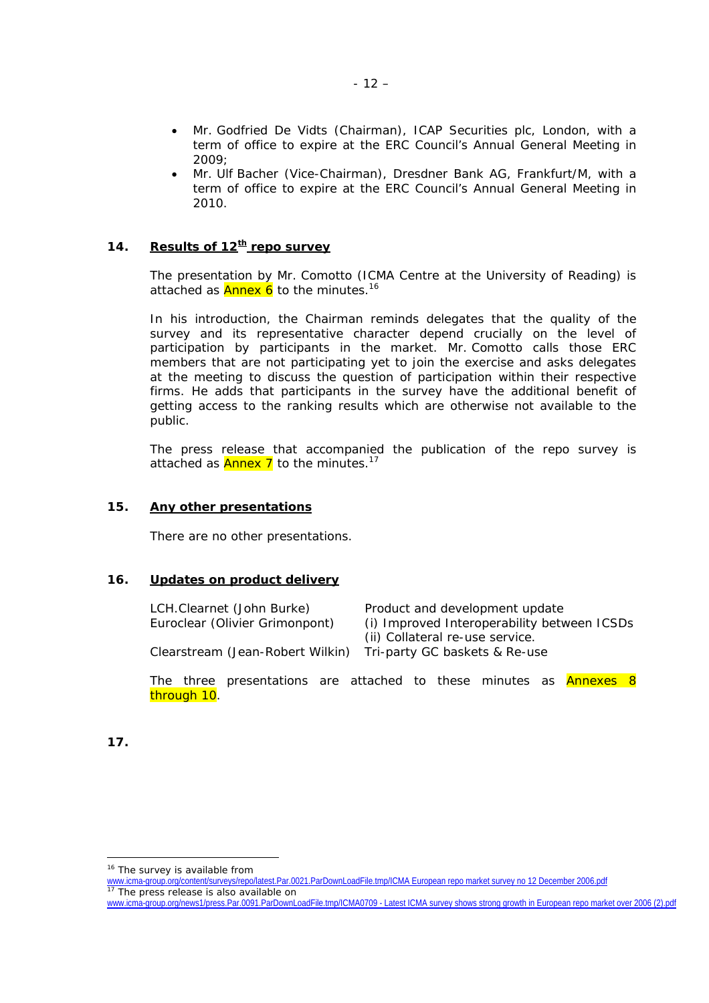- Mr. Godfried De Vidts (Chairman), ICAP Securities plc, London, with a term of office to expire at the ERC Council's Annual General Meeting in 2009;
- Mr. Ulf Bacher (Vice-Chairman), Dresdner Bank AG, Frankfurt/M, with a term of office to expire at the ERC Council's Annual General Meeting in 2010.

## **14.** Results of 12<sup>th</sup> repo survey

The presentation by Mr. Comotto (ICMA Centre at the University of Reading) is attached as  $\frac{\text{Annex } 6}{\text{to the minutes.}}$ <sup>[16](#page-11-0)</sup>

In his introduction, the Chairman reminds delegates that the quality of the survey and its representative character depend crucially on the level of participation by participants in the market. Mr. Comotto calls those ERC members that are not participating yet to join the exercise and asks delegates at the meeting to discuss the question of participation within their respective firms. He adds that participants in the survey have the additional benefit of getting access to the ranking results which are otherwise not available to the public.

The press release that accompanied the publication of the repo survey is attached as  $\frac{\text{Annex}}{\text{I}}$  to the minutes.<sup>[17](#page-11-1)</sup>

## **15. Any other presentations**

There are no other presentations.

#### **16. Updates on product delivery**

| LCH.Clearnet (John Burke)        | Product and development update              |
|----------------------------------|---------------------------------------------|
| Euroclear (Olivier Grimonpont)   | (i) Improved Interoperability between ICSDs |
|                                  | (ii) Collateral re-use service.             |
| Clearstream (Jean-Robert Wilkin) | Tri-party GC baskets & Re-use               |
|                                  |                                             |

The three presentations are attached to these minutes as **Annexes 8** through 10.

**17.**

<span id="page-11-0"></span><sup>&</sup>lt;sup>16</sup> The survey is available from

[www.icma-group.org/content/surveys/repo/latest.Par.0021.ParDownLoadFile.tmp/ICMA European repo market survey no 12 December 2006.pdf](http://www.icma-group.org/content/surveys/repo/latest.Par.0021.ParDownLoadFile.tmp/ICMA European repo market survey no 12 December 2006.pdf) <sup>17</sup> The press release is also available on

<span id="page-11-1"></span>[www.icma-group.org/news1/press.Par.0091.ParDownLoadFile.tmp/ICMA0709 - Latest ICMA survey shows strong growth in European repo market over 2006 \(2\).pdf](http://www.icma-group.org/news1/press.Par.0091.ParDownLoadFile.tmp/ICMA0709 - Latest ICMA survey shows strong growth in European repo market over 2006 (2).pdf)